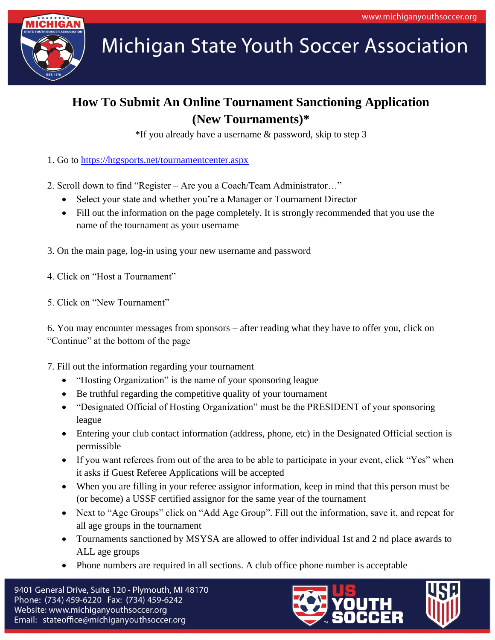

**Michigan State Youth Soccer Association** 

## **How To Submit An Online Tournament Sanctioning Application (New Tournaments)\***

\*If you already have a username & password, skip to step 3

- 1. Go to<https://htgsports.net/tournamentcenter.aspx>
- 2. Scroll down to find "Register Are you a Coach/Team Administrator…"
	- Select your state and whether you're a Manager or Tournament Director
	- Fill out the information on the page completely. It is strongly recommended that you use the name of the tournament as your username
- 3. On the main page, log-in using your new username and password
- 4. Click on "Host a Tournament"
- 5. Click on "New Tournament"

6. You may encounter messages from sponsors – after reading what they have to offer you, click on "Continue" at the bottom of the page

- 7. Fill out the information regarding your tournament
	- "Hosting Organization" is the name of your sponsoring league
	- Be truthful regarding the competitive quality of your tournament
	- "Designated Official of Hosting Organization" must be the PRESIDENT of your sponsoring league
	- Entering your club contact information (address, phone, etc) in the Designated Official section is permissible
	- If you want referees from out of the area to be able to participate in your event, click "Yes" when it asks if Guest Referee Applications will be accepted
	- When you are filling in your referee assignor information, keep in mind that this person must be (or become) a USSF certified assignor for the same year of the tournament
	- Next to "Age Groups" click on "Add Age Group". Fill out the information, save it, and repeat for all age groups in the tournament
	- Tournaments sanctioned by MSYSA are allowed to offer individual 1st and 2 nd place awards to ALL age groups
	- Phone numbers are required in all sections. A club office phone number is acceptable

9401 General Drive, Suite 120 - Plymouth, MI 48170 Phone: (734) 459-6220 Fax: (734) 459-6242 Website: www.michiganyouthsoccer.org Email: stateoffice@michiganyouthsoccer.org